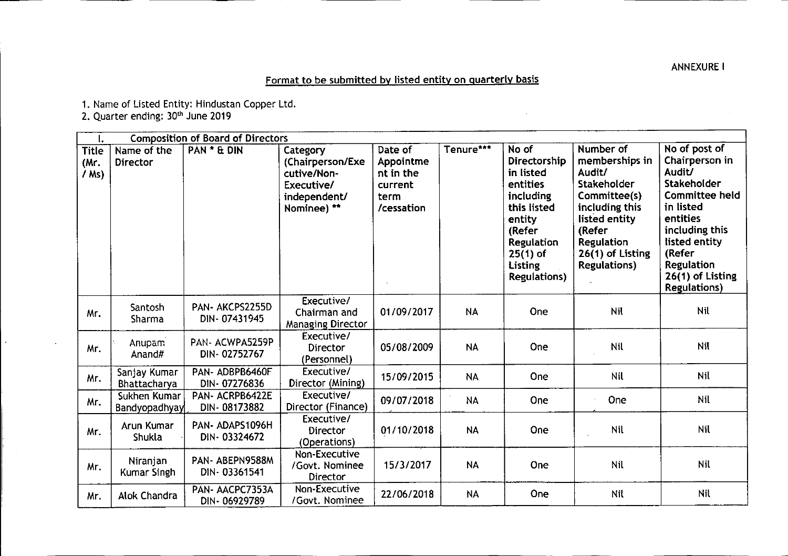## Format to be submitted by listed entity on quarterly basis

 $\mathcal{L}_{\mathrm{eff}}$ 

1. Name of Listed Entity: Hindustan Copper Ltd.

2. Quarter ending: 30<sup>th</sup> June 2019

L.

| ι.                                 | <b>Composition of Board of Directors</b> |                                |                                                                                          |                                                                    |           |                                                                                                                                                              |                                                                                                                                                                                   |                                                                                                                                                                                                                  |
|------------------------------------|------------------------------------------|--------------------------------|------------------------------------------------------------------------------------------|--------------------------------------------------------------------|-----------|--------------------------------------------------------------------------------------------------------------------------------------------------------------|-----------------------------------------------------------------------------------------------------------------------------------------------------------------------------------|------------------------------------------------------------------------------------------------------------------------------------------------------------------------------------------------------------------|
| <b>Title</b><br>(Mr.<br>$/$ Ms $)$ | Name of the<br><b>Director</b>           | PAN * & DIN                    | Category<br>(Chairperson/Exe<br>cutive/Non-<br>Executive/<br>independent/<br>Nominee) ** | Date of<br>Appointme<br>nt in the<br>current<br>term<br>/cessation | Tenure*** | No of<br>Directorship<br>in listed<br>entities<br>including<br>this listed<br>entity<br>(Refer<br>Regulation<br>$25(1)$ of<br>Listing<br><b>Regulations)</b> | Number of<br>memberships in<br>Audit/<br>Stakeholder<br>Committee(s)<br>including this<br>listed entity<br>(Refer<br><b>Regulation</b><br>26(1) of Listing<br><b>Regulations)</b> | No of post of<br>Chairperson in<br>Audit/<br>Stakeholder<br><b>Committee held</b><br>in listed<br>entities<br>including this<br>listed entity<br>(Refer<br>Regulation<br>26(1) of Listing<br><b>Regulations)</b> |
| Mr.                                | Santosh<br>Sharma                        | PAN-AKCPS2255D<br>DIN-07431945 | Executive/<br>Chairman and<br><b>Managing Director</b>                                   | 01/09/2017                                                         | <b>NA</b> | One                                                                                                                                                          | Nil                                                                                                                                                                               | Nil                                                                                                                                                                                                              |
| Mr.                                | <b>Anupam</b><br>Anand#                  | PAN-ACWPA5259P<br>DIN-02752767 | Executive/<br><b>Director</b><br>(Personnel)                                             | 05/08/2009                                                         | <b>NA</b> | One                                                                                                                                                          | Nil                                                                                                                                                                               | Nil                                                                                                                                                                                                              |
| Mr.                                | Sanjay Kumar<br>Bhattacharya             | PAN-ADBPB6460F<br>DIN-07276836 | Executive/<br>Director (Mining)                                                          | 15/09/2015                                                         | <b>NA</b> | One                                                                                                                                                          | Nil                                                                                                                                                                               | Nil                                                                                                                                                                                                              |
| Mr.                                | Sukhen Kumar<br>Bandyopadhyay            | PAN-ACRPB6422E<br>DIN-08173882 | Executive/<br>Director (Finance)                                                         | 09/07/2018                                                         | <b>NA</b> | One                                                                                                                                                          | One                                                                                                                                                                               | Nil                                                                                                                                                                                                              |
| Mr.                                | Arun Kumar<br>Shukla                     | PAN-ADAPS1096H<br>DIN-03324672 | Executive/<br>Director<br>(Operations)                                                   | 01/10/2018                                                         | <b>NA</b> | One                                                                                                                                                          | Nil                                                                                                                                                                               | <b>Nil</b>                                                                                                                                                                                                       |
| Mr.                                | Niranjan<br>Kumar Singh                  | PAN-ABEPN9588M<br>DIN-03361541 | Non-Executive<br>/Govt. Nominee<br>Director                                              | 15/3/2017                                                          | <b>NA</b> | One                                                                                                                                                          | Nil                                                                                                                                                                               | <b>Nil</b>                                                                                                                                                                                                       |
| Mr.                                | Alok Chandra                             | PAN-AACPC7353A<br>DIN-06929789 | Non-Executive<br>/Govt. Nominee                                                          | 22/06/2018                                                         | <b>NA</b> | One                                                                                                                                                          | Nil                                                                                                                                                                               | Nil                                                                                                                                                                                                              |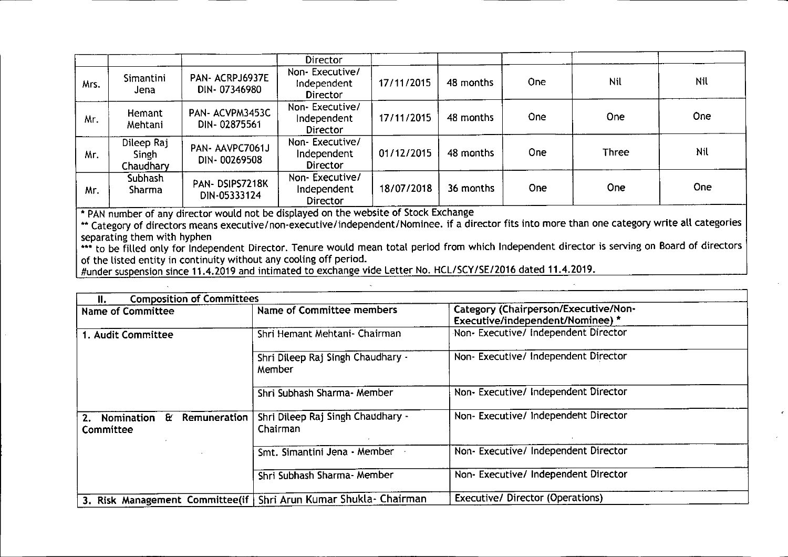|      |                                  |                                 | <b>Director</b>                           |            |           |      |              |     |
|------|----------------------------------|---------------------------------|-------------------------------------------|------------|-----------|------|--------------|-----|
| Mrs. | Simantini<br>Jena                | PAN- ACRPJ6937E<br>DIN-07346980 | Non-Executive/<br>Independent<br>Director | 17/11/2015 | 48 months | One  | <b>Nil</b>   | Nil |
| Mr.  | Hemant<br>Mehtani                | PAN-ACVPM3453C<br>DIN-02875561  | Non-Executive/<br>Independent<br>Director | 17/11/2015 | 48 months | One. | <b>One</b>   | One |
| Mr.  | Dileep Raj<br>Singh<br>Chaudhary | PAN-AAVPC7061J<br>DIN-00269508  | Non-Executive/<br>Independent<br>Director | 01/12/2015 | 48 months | One  | <b>Three</b> | Nil |
| Mr.  | Subhash<br>Sharma                | PAN-DSIPS7218K<br>DIN-05333124  | Non-Executive/<br>Independent<br>Director | 18/07/2018 | 36 months | One: | <b>One</b>   | One |

\* PAN number of any director would not be displayed on the website of Stock Exchange

••• Category of directors means executive/non-executive/independent/Nominee. if a director fits into more than one category write all categories separating them with hyphen

**\*\*\*** to be filled only for Independent Director. Tenure would mean total period from which Independent director is serving on Board of directors of the listed entity in continuity without any cooling off period.

#under suspension since 11.4.2019 and intimated to exchange vide Letter No. HCL/SCY/SE/2016 dated 11.4.2019.

| <b>Composition of Committees</b><br>Ш.            |                                                                    |                                                                          |  |
|---------------------------------------------------|--------------------------------------------------------------------|--------------------------------------------------------------------------|--|
| Name of Committee                                 | Name of Committee members                                          | Category (Chairperson/Executive/Non-<br>Executive/independent/Nominee) * |  |
| 1. Audit Committee                                | Shri Hemant Mehtani- Chairman                                      | Non- Executive/ Independent Director                                     |  |
|                                                   | Shri Dileep Raj Singh Chaudhary -<br>Member                        | Non-Executive/Independent Director                                       |  |
|                                                   | Shri Subhash Sharma- Member                                        | Non- Executive/ Independent Director                                     |  |
| £r.<br>Remuneration<br>2. Nomination<br>Committee | Shri Dileep Raj Singh Chaudhary -<br>Chairman                      | Non-Executive/ Independent Director                                      |  |
|                                                   | Smt. Simantini Jena - Member                                       | Non-Executive/Independent Director                                       |  |
|                                                   | Shri Subhash Sharma- Member                                        | Non- Executive/ Independent Director                                     |  |
|                                                   | 3. Risk Management Committee(if   Shri Arun Kumar Shukla- Chairman | <b>Executive/ Director (Operations)</b>                                  |  |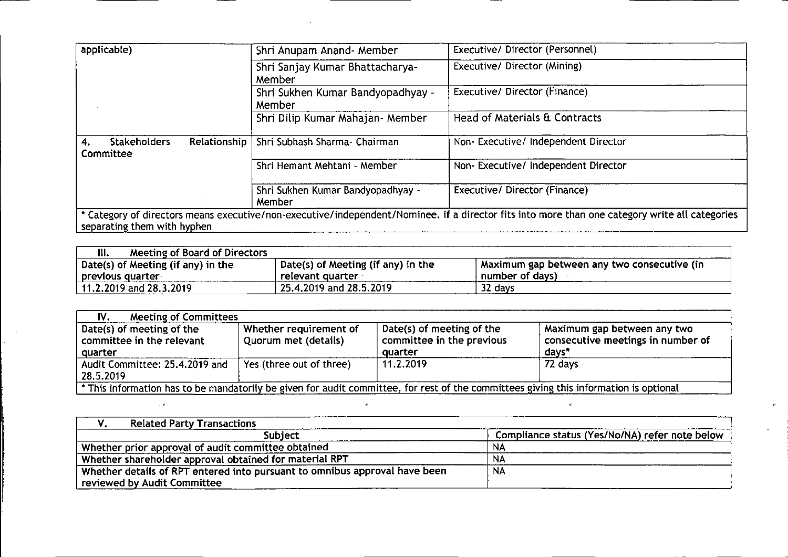| applicable)                            |                     | Shri Anupam Anand- Member                   | Executive/Director (Personnel)                                                                                                                 |  |
|----------------------------------------|---------------------|---------------------------------------------|------------------------------------------------------------------------------------------------------------------------------------------------|--|
|                                        |                     | Shri Sanjay Kumar Bhattacharya-<br>Member   | Executive/ Director (Mining)                                                                                                                   |  |
|                                        |                     | Shri Sukhen Kumar Bandyopadhyay -<br>Member | Executive/ Director (Finance)                                                                                                                  |  |
|                                        |                     | Shri Dilip Kumar Mahajan- Member            | Head of Materials & Contracts                                                                                                                  |  |
| <b>Stakeholders</b><br>4.<br>Committee | <b>Relationship</b> | Shri Subhash Sharma- Chairman               | Non-Executive/Independent Director                                                                                                             |  |
|                                        |                     | Shri Hemant Mehtani - Member                | Non- Executive/ Independent Director                                                                                                           |  |
|                                        |                     | Shri Sukhen Kumar Bandyopadhyay -<br>Member | Executive/ Director (Finance)                                                                                                                  |  |
| separating them with hyphen            |                     |                                             | * Category of directors means executive/non-executive/independent/Nominee. if a director fits into more than one category write all categories |  |

 $\mathcal{L}^{\text{max}}_{\text{max}}$  , where  $\mathcal{L}^{\text{max}}_{\text{max}}$ 

| <b>Meeting of Board of Directors</b><br>Ш. |                                    |                                             |
|--------------------------------------------|------------------------------------|---------------------------------------------|
| Date(s) of Meeting (if any) in the         | Date(s) of Meeting (if any) in the | Maximum gap between any two consecutive (in |
| previous quarter                           | relevant quarter                   | number of days)                             |
| 11.2.2019 and 28.3.2019                    | 25.4.2019 and 28.5.2019            | 32 days                                     |

| <b>Meeting of Committees</b><br>IV.                                                                                                   |                                                |                                                        |                                                                  |  |
|---------------------------------------------------------------------------------------------------------------------------------------|------------------------------------------------|--------------------------------------------------------|------------------------------------------------------------------|--|
| Date(s) of meeting of the<br>committee in the relevant                                                                                | Whether requirement of<br>Quorum met (details) | Date(s) of meeting of the<br>committee in the previous | Maximum gap between any two<br>consecutive meetings in number of |  |
| quarter                                                                                                                               |                                                | quarter                                                | days*                                                            |  |
| Audit Committee: 25.4.2019 and                                                                                                        | Yes (three out of three)                       | 11.2.2019                                              | 72 days                                                          |  |
| 28.5.2019                                                                                                                             |                                                |                                                        |                                                                  |  |
| * This information has to be mandatorily be given for audit committee, for rest of the committees giving this information is optional |                                                |                                                        |                                                                  |  |

| <b>Related Party Transactions</b>                                                                         |                                                |
|-----------------------------------------------------------------------------------------------------------|------------------------------------------------|
| Subiect                                                                                                   | Compliance status (Yes/No/NA) refer note below |
| Whether prior approval of audit committee obtained                                                        | NA                                             |
| Whether shareholder approval obtained for material RPT                                                    | <b>NA</b>                                      |
| Whether details of RPT entered into pursuant to omnibus approval have been<br>reviewed by Audit Committee | <b>NA</b>                                      |

 $\mathcal{L}(\mathcal{L})$  and  $\mathcal{L}(\mathcal{L})$  and  $\mathcal{L}(\mathcal{L})$  . The contract of  $\mathcal{L}(\mathcal{L})$  and  $\mathcal{L}(\mathcal{L})$  and  $\mathcal{L}(\mathcal{L})$